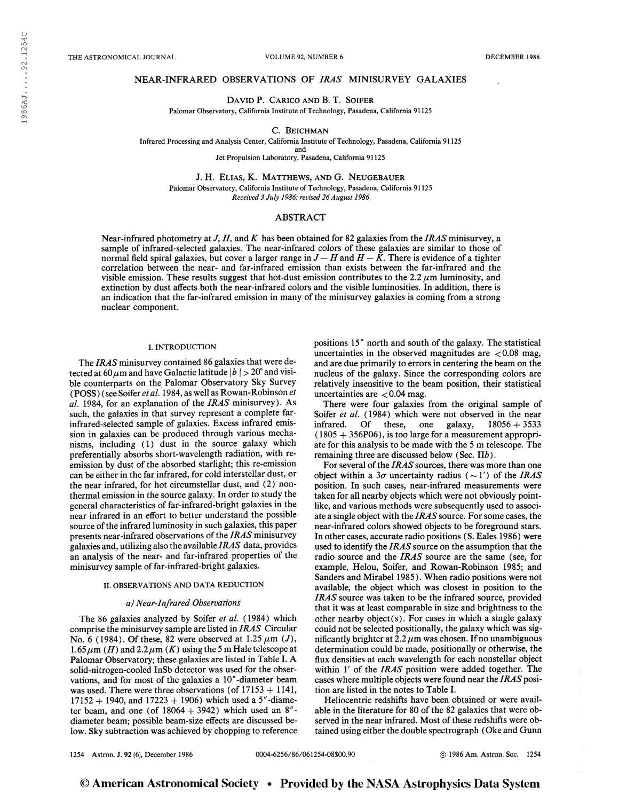THE ASTRONOMICAL JOURNAL **THE ASTRONOMICAL JOURNAL** VOLUME 92, NUMBER 6

## NEAR-INFRARED OBSERVATIONS OF IRAS MINISURVEY GALAXIES

## David P. Carico and B. T. Soifer

Palomar Observatory, California Institute of Technology, Pasadena, California 91125

#### C. BEICHMAN

Infrared Processing and Analysis Center, California Institute of Technology, Pasadena, California 91125

and

Jet Propulsion Laboratory, Pasadena, California 91125

J. H. Elias, K. Matthews, and G. Neugebauer Palomar Observatory, California Institute of Technology, Pasadena, California 91125 Received 3 July 1986; revised 26August 1986

## ABSTRACT

Near-infrared photometry at J, H, and K has been obtained for 82 galaxies from the IRAS minisurvey, a sample of infrared-selected galaxies. The near-infrared colors of these galaxies are similar to those of normal field spiral galaxies, but cover a larger range in  $J - H$  and  $H - \tilde{K}$ . There is evidence of a tighter correlation between the near- and far-infrared emission than exists between the far-infrared and the visible emission. These results suggest that hot-dust emission contributes to the 2.2  $\mu$ m luminosity, and extinction by dust affects both the near-infrared colors and the visible luminosities. In addition, there is an indication that the far-infrared emission in many of the minisurvey galaxies is coming from a strong nuclear component.

#### I. INTRODUCTION

The IRAS minisurvey contained 86 galaxies that were detected at 60  $\mu$ m and have Galactic latitude  $|b| > 20^{\circ}$  and visible counterparts on the Palomar Observatory Sky Survey (POSS) (see Soifer et al. 1984, as well as Rowan-Robinson et al. 1984, for an explanation of the IRAS minisurvey). As such, the galaxies in that survey represent a complete farinfrared-selected sample of galaxies. Excess infrared emission in galaxies can be produced through various mechanisms, including (1) dust in the source galaxy which preferentially absorbs short-wavelength radiation, with reemission by dust of the absorbed starlight; this re-emission can be either in the far infrared, for cold interstellar dust, or the near infrared, for hot circumstellar dust, and (2) nonthermal emission in the source galaxy. In order to study the general characteristics of far-infrared-bright galaxies in the near infrared in an effort to better understand the possible source of the infrared luminosity in such galaxies, this paper presents near-infrared observations of the IRAS minisurvey galaxies and, utilizing also the available  $IRAS$  data, provides an analysis of the near- and far-infrared properties of the minisurvey sample of far-infrared-bright galaxies.

#### II. OBSERVATIONS AND DATA REDUCTION

#### a) Near-Infrared Observations

The 86 galaxies analyzed by Soifer et al. (1984) which comprise the minisurvey sample are listed in IRAS Circular No. 6 (1984). Of these, 82 were observed at 1.25  $\mu$ m (J), 1.65  $\mu$ m (*H*) and 2.2  $\mu$ m (*K*) using the 5 m Hale telescope at Palomar Observatory; these galaxies are listed in Table I. A solid-nitrogen-cooled InSb detector was used for the observations, and for most of the galaxies a 10"-diameter beam was used. There were three observations (of  $17153 + 1141$ ,  $17152 + 1940$ , and  $17223 + 1906$ ) which used a 5"-diameter beam, and one (of  $18064 + 3942$ ) which used an  $8''$ diameter beam; possible beam-size effects are discussed below. Sky subtraction was achieved by chopping to reference positions 15" north and south of the galaxy. The statistical uncertainties in the observed magnitudes are  $< 0.08$  mag, and are due primarily to errors in centering the beam on the nucleus of the galaxy. Since the corresponding colors are relatively insensitive to the beam position, their statistical uncertainties are  $< 0.04$  mag.

There were four galaxies from the original sample of Soifer et al. (1984) which were not observed in the near infrared. Of these, one galaxy,  $18056 + 3533$  $(1805 + 356P06)$ , is too large for a measurement appropriate for this analysis to be made with the 5 m telescope. The remaining three are discussed below (Sec. II&).

For several of the IRAS sources, there was more than one object within a  $3\sigma$  uncertainty radius ( ~ 1') of the IRAS position. In such cases, near-infrared measurements were taken for all nearby objects which were not obviously pointlike, and various methods were subsequently used to associate a single object with the IRAS source. For some cases, the near-infrared colors showed objects to be foreground stars. In other cases, accurate radio positions (S. Eales 1986) were used to identify the IRAS source on the assumption that the radio source and the IRAS source are the same (see, for example, Helou, Soifer, and Rowan-Robinson 1985; and Sanders and Mirabel 1985). When radio positions were not available, the object which was closest in position to the IRAS source was taken to be the infrared source, provided that it was at least comparable in size and brightness to the other nearby object(s). For cases in which a single galaxy could not be selected positionally, the galaxy which was significantly brighter at  $2.2 \mu m$  was chosen. If no unambiguous determination could be made, positionally or otherwise, the flux densities at each wavelength for each nonstellar object within 1' of the IRAS position were added together. The cases where multiple objects were found near the IRAS position are listed in the notes to Table I.

Heliocentric redshifts have been obtained or were available in the literature for 80 of the 82 galaxies that were observed in the near infrared. Most of these redshifts were obtained using either the double spectrograph (Oke and Gunn

1254 Astron. J. 92 (6), December 1986 0004-6256/86/061254-08S00.90 © 1986 Am. Astron. Soc. 1254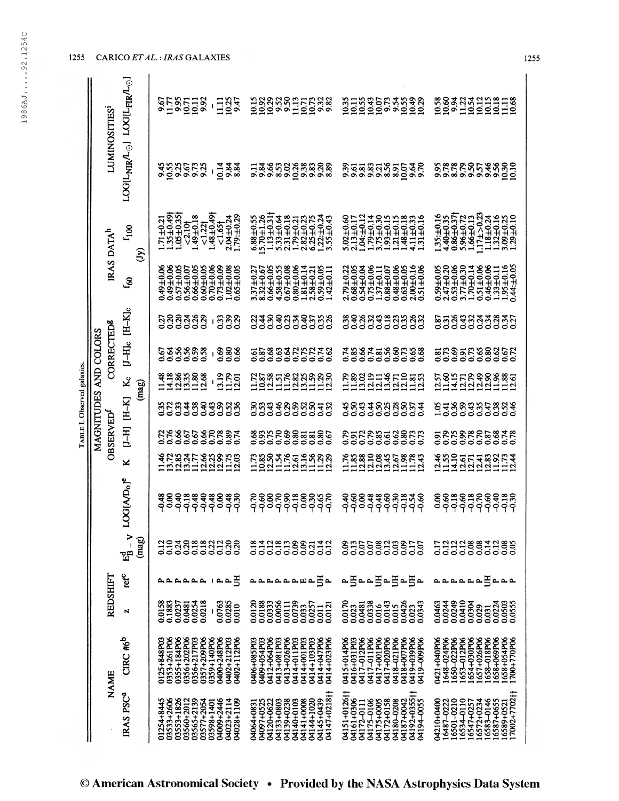|                             |                       | <b>LUMINOSITIES</b>         |                                                                                       |           | 9575<br>1195711<br>11911198                                                                                                                                                                                                                                                                                                                                                                                                      | $\frac{111}{103}$<br>$\pmb{\cdot}$                                   | 1988885155888                                                                                                                                                                    | 10.11<br>10.55<br>10.43<br><b>235333</b><br>23533<br>10.07<br>10.35                                                                                                        | 10.58<br>83833193118<br>00131999118                                                                                                                                           |
|-----------------------------|-----------------------|-----------------------------|---------------------------------------------------------------------------------------|-----------|----------------------------------------------------------------------------------------------------------------------------------------------------------------------------------------------------------------------------------------------------------------------------------------------------------------------------------------------------------------------------------------------------------------------------------|----------------------------------------------------------------------|----------------------------------------------------------------------------------------------------------------------------------------------------------------------------------|----------------------------------------------------------------------------------------------------------------------------------------------------------------------------|-------------------------------------------------------------------------------------------------------------------------------------------------------------------------------|
|                             |                       |                             | $\texttt{LOGL}_{\text{NIR}}$ /L $_\odot$ ] $\texttt{LOGL}_{\text{FIR}}$ /L $_\odot$ ] |           | <b>ង</b> អូងទីដង<br>ស្ថិតទំនង                                                                                                                                                                                                                                                                                                                                                                                                    | 10.14<br>9.84<br>ŧ                                                   | 88888<br>00000<br>9.66<br>353<br>9.84<br>$\overline{5}$                                                                                                                          | <b>93756</b><br>9.39<br>10.07<br>9.50<br>58<br>981<br>8.91                                                                                                                 | 9.78<br><b>00000000000000000</b><br>000000000000                                                                                                                              |
|                             | MAGNITUDES AND COLORS | IRAS DATA <sup>h</sup>      | $f_{100}$                                                                             | $\hat{S}$ | $1.35 \pm 0.49$<br>$1.05 \pm 0.35$<br>\$1,0∓67<br>$1.71 \pm 0.21$<br>1.221<br>12.10                                                                                                                                                                                                                                                                                                                                              | $1.48 \pm 0.49$<br>$1.79: \pm 0.29$<br>$2.04 \pm 0.24$<br>1.651      | $1.13 + 0.31$<br>$1.22: \pm 0.24$<br>3.55 $\pm 0.43$<br>$5.70 + 1.26$<br>$6.88 \pm 0.55$<br>$5.33 + 0.64$<br>$2.31 + 0.18$<br>$2.82 + 0.23$<br>$6.25 + 0.75$<br>$1.79 + 0.21$    | 1.04:±0.12<br>1.79±0.14<br>3.75±0.30<br>1.93±0.15<br>1.21±0.15<br>$5.02+0.60$<br>$2.13+0.17$<br>1.48±0.18<br>4.11±0.33<br>1.31±0.16                                        | $1.17 + > 0.23$<br>$4.40 + 0.35$<br>0.86+0.37†<br>1.35:±0.16<br>$1.18 + 0.24$<br>$1.32 \pm 0.16$<br>$5.96 + 0.72$<br>$1.66 \pm 0.13$<br>3.09±0.25<br>1.29±0.10                |
|                             |                       |                             | දි                                                                                    |           | 0.49±0.06<br>$0.49 \pm 0.06$<br>$0.57 \pm 0.05$<br>0.56±0.07<br>$0.66 \pm 0.05$<br>$0.60 + 0.05$                                                                                                                                                                                                                                                                                                                                 | $0.70 \pm 0.06$<br>$0.73 + 0.09$<br>$0.02 \pm 0.08$<br>$0.65 + 0.05$ | $4.58 + 0.55$<br>$0.67 + 0.08$<br>$0.80 + 0.06$<br>$1.81 \pm 0.14$<br>$2.58 \pm 0.21$<br>$3.37 + 0.27$<br>8.32 $\pm$ 0.67<br>$0.66 \pm 0.05$<br>$0.59 + 0.05$<br>1.42 $\pm$ 0.11 | $0.75 - 0.06$<br>$2.00 + 0.16$<br>$0.51 + 0.06$<br>$0.68 + 0.05$<br>$0.54 \pm 0.04$<br>$0.48 + 0.06$<br>$0.63 \pm 0.05$<br>$2.79 + 0.22$<br>$1.37 + 0.11$<br>$0.88 + 0.07$ | $1.95 \pm 0.16$<br>0.44: $\pm 0.05$<br>$2.47 + 0.20$<br>$3.77\pm0.30$<br>$0.53 + 0.06$<br>$1.70 + 0.14$<br>$0.51 \pm 0.06$<br>$0.46 + 0.06$<br>$0.59 + 0.05$<br>$1.33 + 0.11$ |
|                             |                       |                             | $[J-H]_c$ $[H-K]_c$                                                                   |           | ភ្លន្តក្នុងខ្លួ<br>ទី១១១១១                                                                                                                                                                                                                                                                                                                                                                                                       | 3388<br>$\mathbf{I}$                                                 | 9398338539<br>9388338558                                                                                                                                                         | 0.38<br><b>888333883</b><br>888333888                                                                                                                                      | s = 3 = 3 = 3 = 3 = 3<br>s = 3 = 3 = 3 = 3 = 3                                                                                                                                |
|                             |                       | <b>CORRECTED®</b>           |                                                                                       |           | 922223<br>22222                                                                                                                                                                                                                                                                                                                                                                                                                  | 888<br>$\mathbf{I}$                                                  | $\frac{26}{0.87}$<br>883825258<br>88950000                                                                                                                                       | <b>78875886588</b><br>28875886588                                                                                                                                          | 82882888262<br>838828886                                                                                                                                                      |
| TABLE I. Observed galaxies. |                       |                             | $\mathbf{g}$                                                                          | (mag)     | ##%%%%<br>=======                                                                                                                                                                                                                                                                                                                                                                                                                | 3.19<br>1.79                                                         | $122877888888$<br>$1921119998$                                                                                                                                                   | Fassanustaan<br>Finandianus                                                                                                                                                | n<br>22388835<br>22221123<br>1257<br>1136<br>1415                                                                                                                             |
|                             |                       | <b>OBSERVED</b><br>REDSHIFT | $[H-K]$                                                                               |           | 999338<br>2223483                                                                                                                                                                                                                                                                                                                                                                                                                | 8888<br>8898                                                         | 88888538<br>888885<br>83<br>0.53                                                                                                                                                 | \$8\$\$88885\$<br>\$8\$\$8885                                                                                                                                              | 193883358836                                                                                                                                                                  |
|                             |                       |                             | $H-I$                                                                                 |           | 2286582887<br>22865582887                                                                                                                                                                                                                                                                                                                                                                                                        |                                                                      | 8826888886<br>882688888                                                                                                                                                          |                                                                                                                                                                            | 87888888878<br>50000000000                                                                                                                                                    |
|                             |                       |                             | ×                                                                                     |           |                                                                                                                                                                                                                                                                                                                                                                                                                                  |                                                                      |                                                                                                                                                                                  | 11.388<br>12.10<br>13.45<br>1.38<br>11.743                                                                                                                                 | 1246<br>1155<br>14.10<br>$31138374$<br>$11111$                                                                                                                                |
|                             |                       |                             | LOG[A/D <sub>o</sub> ] <sup>e</sup>                                                   |           | ३३३ = ३३ = ३<br>२०२१ = २२                                                                                                                                                                                                                                                                                                                                                                                                        | 380                                                                  | $-0.70$<br><u>၉၀၀</u><br>၁၃၀<br>6.90<br>388888<br>Poppo                                                                                                                          | 3880<br>$-0.30$<br>ဒုဒ္ဓ<br>၁၃၁<br>ez<br>PPP                                                                                                                               | ဒီခိုဗို့ဗို့<br>၁၁၁၉<br>$-0.60$<br>$-0.18$<br>832<br>999<br>8                                                                                                                |
|                             |                       |                             | $V - E_B^d$                                                                           | (mag)     | 338<br>0.18<br>$\rm \frac{2}{5}$                                                                                                                                                                                                                                                                                                                                                                                                 | 3333<br>2012<br>830<br>0.20                                          | 122388<br>0.18<br>0.14<br>0.14<br>0.21                                                                                                                                           | 5831<br>000<br>835<br>835<br>3355<br>SSS                                                                                                                                   | 111188111<br>00000000<br>$\begin{array}{c} 0.05 \\ 0.05 \end{array}$<br>5<br>0.17                                                                                             |
|                             |                       |                             | $\mathbf{ref}^c$                                                                      |           | $\begin{array}{c} \mathbf{A} & \mathbf{A} & \mathbf{A} & \mathbf{A} & \mathbf{A} & \mathbf{A} & \mathbf{A} & \mathbf{A} & \mathbf{A} & \mathbf{A} & \mathbf{A} & \mathbf{A} & \mathbf{A} & \mathbf{A} & \mathbf{A} & \mathbf{A} & \mathbf{A} & \mathbf{A} & \mathbf{A} & \mathbf{A} & \mathbf{A} & \mathbf{A} & \mathbf{A} & \mathbf{A} & \mathbf{A} & \mathbf{A} & \mathbf{A} & \mathbf{A} & \mathbf{A} & \mathbf{A} & \mathbf$ | 呂                                                                    | 5∼<br><b>A. A. A. A. A. H. A.</b>                                                                                                                                                | ∃⊷≞<br>∃≏∃∼<br>ے ٰ<br>یم                                                                                                                                                   | Baaa<br>م م م م م م                                                                                                                                                           |
|                             |                       |                             | N                                                                                     |           | 0.0158<br>0.1883<br>0.0237<br>0.0254<br>0.0218<br>0.0481                                                                                                                                                                                                                                                                                                                                                                         | 0.0285<br>0.0763<br>0.010                                            | 0.0333<br>0.0056<br>0.0739<br>0.0120<br>0.0188<br>0.0111<br>0.0257<br>0.0121<br>0.033<br>0.011                                                                                   | 0.0338<br>0.015<br>0.0426<br>0.0143<br>0.0170<br>0.0481<br>0.0343<br>0.016<br>0.023<br>0.023                                                                               | 0.0249<br>0.0410<br>0.0224<br>0.0503<br>0.0463<br>0.0244<br>0.0304<br>0.0555<br>0.029<br>0.031                                                                                |
|                             |                       | NAME                        | $CIRC$ # $6^b$                                                                        |           | 0355+184P06<br>0353+261P06<br>0356+217P03<br>0357+209P06<br>0356+202P06<br>0125+848P03                                                                                                                                                                                                                                                                                                                                           | 0359+140P06<br>0400+248P06<br>0402+112P06<br>0402+212P03             | 0406+085P03<br>0409+054P03<br>0412+064P06<br>0413+026P06<br>0414+011P03<br>0414+001P03<br>0414+103P03<br>0414+047P06<br>0413+081P03<br>0414+023P06                               | 0419+039P06<br>0415+014P06<br>0416+031P03<br>0417-012P06<br>0417-011P06<br>0417+001P06<br>0417+020P06<br>0418-021P06<br>0418+007P06<br><b>PO419-00-61PO</b>                | 1658+054P06<br>654+030P06<br>657+026P06<br>658+069P06<br>0421+040P06<br>1648-024P06<br>650-022P06<br>653-012P06<br>658-018P06<br>004770P06                                    |
|                             |                       |                             | IRAS PSC <sup>a</sup>                                                                 |           | 03533+2606<br>03553+1826<br>03565+2139<br>01254+8445<br>03560+2012<br>03577+2054                                                                                                                                                                                                                                                                                                                                                 | 04009+2446<br>04023+2114<br>04028+1109<br>03598+1401                 | 04147+0218<br>04145+0439<br>041441020<br>04097+0525<br>04120+0622<br>04133+0803<br>04139+0238<br>04140+0103<br>04141+0008<br>04064+0831                                          | 04151+0126†<br>04192+035511<br>04194-0055<br>04161+0306<br>04172+0158<br>04187+0042<br>04175-0106<br>04175+0005<br>04180-0208<br>04172-0111                                | 17002+7702†<br>04210+0400<br>16501-0210<br>16534-0110<br>16572+0234<br>16583-0146<br>16587+0655<br>16487-0222<br>16547+0257<br>16589+0521                                     |

1255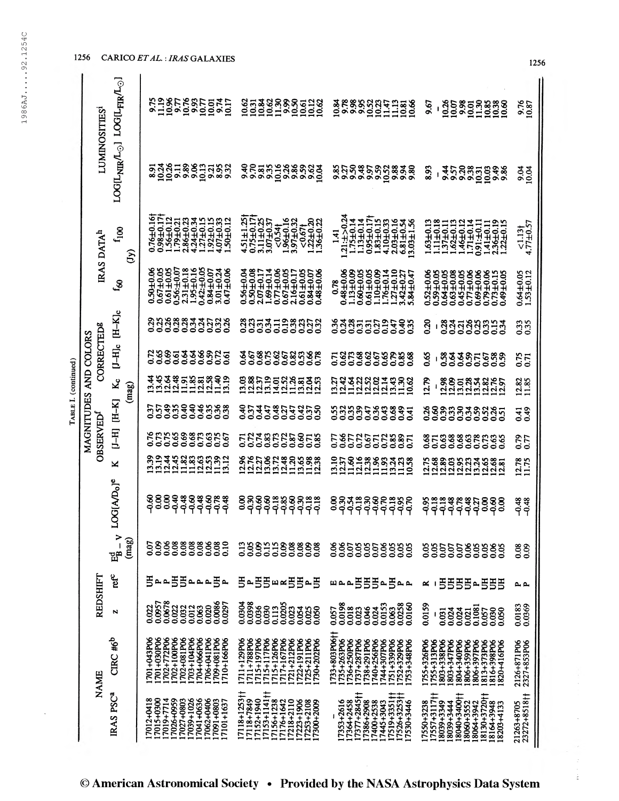| O                            |
|------------------------------|
| 4                            |
|                              |
| ഗ                            |
| $\mathbf \circ$<br>Ĵ         |
|                              |
| 4<br>$\overline{\mathbf{v}}$ |
|                              |
| $\sim$                       |
| $\sigma$                     |
| ١                            |
|                              |
|                              |
|                              |
|                              |
|                              |
|                              |
|                              |
| ۴                            |
| l<br>ď                       |
|                              |
| $\circ$                      |
| $\infty$                     |
| ന                            |
|                              |
| 4<br>$\tau$                  |
|                              |

| TABLE I. (continued) | LUMINOSITIES <sup>1</sup> | <b>LOGIL<sub>NIR</sub>/L<sub>o</sub>.1 LOGIL<sub>FIR</sub>/L<sub>o.</sub>1</b> |                         |                                                                                                                                          |                                     | 338885128<br>225985512<br>0.62<br>10.31                                                                                                                                 | 3888888<br>2000<br>$\frac{11.47}{11.13}$<br>10.66                                                                                                             | 10.26<br>10.07<br><b>8858888</b><br>00138888<br>9.67                                                                                                                     | 9.76<br>10.87                  |
|----------------------|---------------------------|--------------------------------------------------------------------------------|-------------------------|------------------------------------------------------------------------------------------------------------------------------------------|-------------------------------------|-------------------------------------------------------------------------------------------------------------------------------------------------------------------------|---------------------------------------------------------------------------------------------------------------------------------------------------------------|--------------------------------------------------------------------------------------------------------------------------------------------------------------------------|--------------------------------|
|                      |                           |                                                                                |                         | sz<br>82818851                                                                                                                           | 333                                 | 9.70<br>ឨ <b>៷៓</b> ឨ៓៓ឨ៓៓ឨ៓<br>ឨ៷៓ឨ៓៓ឨ៓៓ឨ៓៓ឨ៓                                                                                                                          | និង១៩៩៦១ ដ<br>និង១៩៩១១ ដឹ<br><b>8838</b>                                                                                                                      | 8.93<br>9.57<br>ុន្ត<br>ទី១១<br>២<br>10.03<br>0.4%                                                                                                                       | <b>3.04</b>                    |
|                      | IRAS DATA <sup>h</sup>    | $\mathbf{f}_{100}$                                                             | $\widehat{\mathcal{E}}$ | $0.76 \pm 0.16$<br>$0.98 + 0.17$<br>1.56±0.12<br>1.79±0.21<br>$2.86 + 0.23$<br>4.24±0.34<br>1.27±0.15                                    | 1.92±0.15<br>4.07±0.33<br>1.50±0.12 | $4.51 \pm 1.25$<br>0.75±0.17<br>96±0.16<br>97±0.32<br>$22 + 0.20$<br>$3.11 \pm 0.25$<br>3.07±0.37<br>$36 + 0.22$<br>541<br>m                                            | 1.21:±>0.24<br>$0.95 \pm 0.17$<br>1.83±0.15<br>4.10±0.33<br>$1.75 \pm 0.14$<br>$1.13 \pm 0.14$<br>$2.03 + 0.16$<br>6.81+0.54<br>13.03±1.56<br>1.41            | $1.63 \pm 0.13$<br>$1.11 \pm 0.18$<br>1.37±0.11<br>1.62±0.13<br>1.46±0.12<br>$1.71 \pm 0.14$<br>0.91:±0.11<br>2.36±0.19<br>1.22±0.15<br>$1.41 \pm 0.11$                  | 4.77±0.57<br>51.131            |
|                      |                           | යු                                                                             |                         | $0.56: \pm 0.07$<br>2.31±0.18<br>$0.42: \pm 0.05$<br>$0.50 + 0.06$<br>$0.67 + 0.05$<br>$0.61 \pm 0.05$<br>$1.95 + 0.16$<br>$0.84 + 0.07$ | 3.01±0.24<br>0.47±0.06              | $0.50 + 0.08$<br>$2.07 + 0.17$<br>$1.69 + 0.14$<br>0.77±0.06<br>0.67±0.05<br>$2.16 + 0.17$<br>$0.61 \pm 0.05$<br>$0.56 \pm 0.04$<br>0.84±0.07<br>0.84±0.07<br>0.48±0.06 | $0.48 + 0.06$<br>1.13 $\pm 0.09$<br>60±0.05<br>$0.61 + 0.05$<br>$1.10 + 0.09$<br>$1.76 + 0.14$<br>$1.27 + 0.10$<br>$3.42 + 0.27$<br><b>N1047</b><br>0.78<br>් | 0.52±0.06<br>0.59±0.05<br>$0.64 \pm 0.05$<br>0.63±0.08<br>0.45±0.05<br>90.04<br>90.04<br>$+0.06$<br>±0.15<br>49±0.05<br>$\overline{C}$<br>$\frac{69}{5}$<br>8.79<br>0.73 | $0.64 + 0.05$<br>$1.53 + 0.12$ |
|                      |                           | $H-Kc$                                                                         |                         | 33<br>0.25<br>88833888                                                                                                                   |                                     | 8858538888                                                                                                                                                              | 0.36<br><b>Bennedered</b>                                                                                                                                     | 0.20<br><b>gauggang</b><br>$\mathbf{I}$                                                                                                                                  | 0.35                           |
|                      | CORRECTED®<br>AND COLORS  | $[1-H]$ c                                                                      |                         |                                                                                                                                          |                                     | उँ<br>००<br>85858588<br>85858588                                                                                                                                        | F3F33558F33<br>000000000                                                                                                                                      | 0.65<br>833855888<br>$\blacksquare$                                                                                                                                      | 0.71                           |
|                      |                           | گلا                                                                            | (mag)                   |                                                                                                                                          |                                     | 88525388585<br>985253855                                                                                                                                                | <b>udadad</b><br>2322281<br>3382                                                                                                                              | 2.79<br>12.98<br><b>ក្នុង</b><br>ក្នុង ដូង និង                                                                                                                           | 12.82<br>11.85                 |
|                      | MAGNITUDES                | $H-K$                                                                          |                         | 5583988388                                                                                                                               |                                     | <b>82458254258</b><br>8245825425                                                                                                                                        | <b>233355353655</b><br>235555588                                                                                                                              | 88888888885                                                                                                                                                              | 0.41                           |
|                      | <b>OBSERVED</b>           | FLED                                                                           |                         | <b>822886</b><br>22229<br>888850<br>00000                                                                                                |                                     |                                                                                                                                                                         | 7872572887<br>0000000000                                                                                                                                      | <b>338</b><br>008<br>0.58<br><b>32233</b><br>00000                                                                                                                       | 0.79                           |
|                      |                           | ×                                                                              |                         | 13.39                                                                                                                                    |                                     | 12.76<br>12.77<br>12.27<br>$8748888$<br>$0.748888$<br>$0.019707$                                                                                                        | $25828834$<br>$2121212$<br>123<br>0.58                                                                                                                        | 2.75<br>8888338885<br>22883388                                                                                                                                           | 12.78<br>11.75                 |
|                      |                           | <b>SIAD</b> <sub>o</sub> <sup>e</sup><br>3                                     |                         | 88<br>99<br>0.00<br>३ <del>४</del> ८३८<br>२२२२२                                                                                          | <b>938</b>                          | န္ကန္လ<br>ਫ਼ <sub>ਲ਼</sub> ਲ਼ਫ਼ਫ਼ਲ਼ਲ਼<br>ਲ਼ਲ਼ਲ਼ਫ਼ਲ਼ਲ਼<br>8                                                                                                              | 88<br>၁၃<br>ぁ゠゠゠゠゠<br>ヸ゠゠゠゠゠゠<br>ヸ゠゠゠゠゠゠<br>၁၄<br>၁၃                                                                                                          | ႜၟႍႜၟႍႍႍႍႍႍႜႍႜႍၟႍႍႍႍႜၟႜၟႜၟၣႍႍႍ<br>ႜၟၣၣၣၣၣၣၣၣၣ<br>$-0.95$                                                                                                                 | 348                            |
|                      |                           | $\geq$<br>ಜ್ಞ                                                                  | (mag)                   | 6.06<br>0.09<br>0.08<br>0.08<br>0.08<br>0.08<br>ຣູ                                                                                       | 88.00<br>0.10                       | 88<br>00<br>0.15<br>0.15<br>38<br>$\frac{2}{3}$<br>0.08<br>88.0                                                                                                         | $\frac{86}{0.07}$<br>885<br>889<br>88000<br>$\frac{8}{2}$<br>0.05<br>0.05                                                                                     | 800<br>0.05<br>0.05<br>0.07<br>0.07<br>0.07<br>0.05<br>0.05<br>800<br>$\frac{5}{20}$                                                                                     | 0.09<br>0.08                   |
|                      |                           | ref <sup>c</sup>                                                               |                         | ΞŠ<br>உஉ்தத<br>ρ,<br>2                                                                                                                   |                                     | ΞE<br>Б<br>⊞≃⊞<br>Б<br>E<br>$\sim$<br>$\mathbf{a}$                                                                                                                      | Ë<br>$\Xi$<br>Ë<br>乤<br><b>띠 ᅀ</b> ᅀ<br>$\sim$<br>ے ک                                                                                                         | Ξ<br>Б<br>Б<br>Ξ<br>š<br>呂<br>Б<br>$\mathbf{a}$<br>≃                                                                                                                     | ے ہم                           |
|                      | REDSHIFT                  | N                                                                              |                         | 0.0678<br>0.0957<br>0.022<br>0.020<br>0.032<br>0.012<br>0.063<br>0.022                                                                   | 0.0086<br>0.0297                    | 0.0398<br>0.0304<br>0.0205<br>0.036<br>0.113<br>0.023<br>0.054<br>0.025<br>0.050                                                                                        | 0.0198<br>0.0153<br>0.0258<br>0.0160<br>0.018<br>0.046<br>0.024<br>0.063<br>0.057<br>0.023                                                                    | 0.0159<br>0.1081<br>0.024<br>0.057<br>0.024<br>0.050<br>0.031<br>0.021                                                                                                   | 0.0183<br>0.0369               |
|                      | NAME                      | $CIRC$ # $6b$                                                                  |                         | 701+043P06<br>701+030P06<br>702+772P06<br>702+100P06<br>702+081P06<br>703+104P06<br>704+066P06<br>706+041P06                             | 709+081P06<br>1710+166P06           | 1711+129P06<br>1711+788P06<br>715+126P06<br>1715+197P06<br>715+117P06<br>717+167P06<br>721+212P06<br>722+191P06<br>725+211P06<br>.730+202P06                            | 733+803P06†<br>735+263P06<br>1736+250P06<br>737+287P06<br>738+291P06<br>740+256P06<br>744+307P06<br>751+339P06<br>1752+329P06<br>753+348P06                   | 1755+326P06<br>803+347P06<br>755+313P06<br>803+338P06<br>804+340P06<br>806+359P06<br>806+397P06<br>813+373P06<br>816+398P06<br>820+416P06                                | 2126+871P06<br>2327+853P06     |
|                      |                           | IRAS PSC <sup>a</sup>                                                          |                         | 7015+0300<br>7012+0418<br>7019+7714<br>7026+0959<br>7039+1026<br>7041+0636<br>7062+0406<br>7027+0803                                     | 7091+0803<br>17101+1637             | 17118+1253††<br>17153+1141††<br>1118+7849<br>7152+1940<br>7156+1238<br>17218+2110<br>7223+1906<br>7176+1642<br>7253+2108<br>17300+2009                                  | 7377+2845†<br>7519+3351+<br>17526+3253+<br>17353+2616<br>7364+2458<br>17386+2908<br>7400+2538<br>7445+3043<br>17530+3446                                      | 17557+3117††<br>8130+3720†<br>8040+34001<br>7550+3238<br>8039+3349<br>8039+3444<br>8060+3552<br>8064+3942<br>8164+3948<br>18203+4133                                     | 23272+8518††<br>21263+8705     |

1256 CARICO ET AL.: IRAS GALAXIES

1256

 $\frac{1}{\alpha}$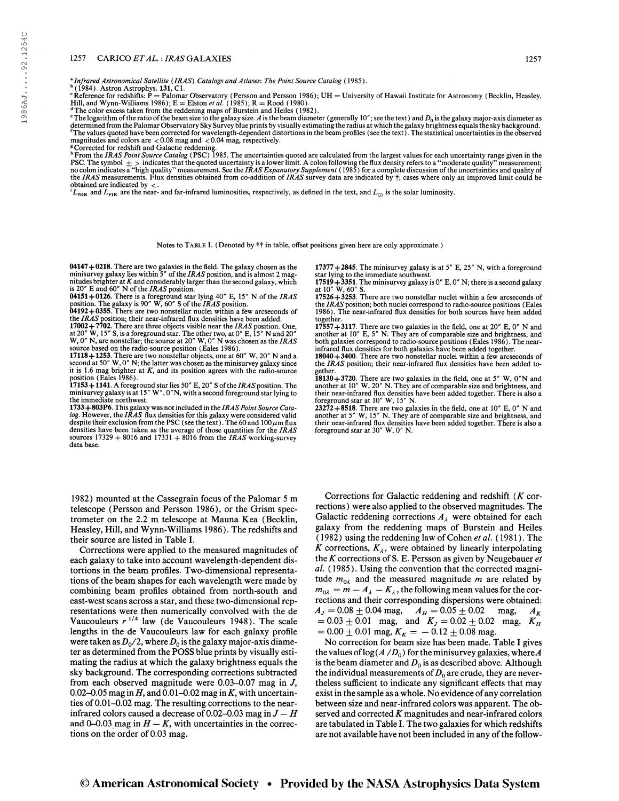#### 1257 CARICO ETAL.: IRAS GALAXIES 1257

<sup>a</sup> Infrared Astronomical Satellite (IRAS) Catalogs and Atlases: The Point Source Catalog (1985).<br><sup>b</sup> (1984). Astron Astrophys. **131**, C1.

 $\mathbf{F}$  Reference for redshifts:  $\mathbf{\tilde{P}} = \text{Palomar Observatory}$  (Persson and Persson 1986); UH = University of Hawaii Institute for Astronomy (Becklin, Heasley, Hill, and Wynn-Williams 1986); E = Elston *et al.* (1985); R = Rood (1980).<br><sup>4</sup>The color excess taken from the reddening maps of Burstein and Heiles (1982).<br><sup>4</sup>The logarithm of the ratio of the beam size to the galaxy siz

Intermined from the Palomar Observatory Sky Survey blue prints by visually estimating the radius at which the galaxy brightness equals the sky background.<br>The values quoted have been corrected for wavelength-dependent dist magnitudes and colors are  $< 0.08$  mag and  $< 0.04$  mag, respectively.<br><sup>8</sup> Corrected for redshift and Galactic reddening.<br><sup>h</sup> From the *IRAS Point Source Catalog* (PSC) 1985. The uncertainties quoted are calculated from t

PSC. The symbol  $\pm$  > indicates that the quoted uncertainty is a lower limit. A colon following the flux density refers to a "moderate quality" measurement;<br>no colon indicates a "high quality" measurement. See the *IRAS* obtained are indicated by <.

 $L_{\text{NIR}}$  and  $L_{\text{FIR}}$  are the near- and far-infrared luminosities, respectively, as defined in the text, and  $L_{\odot}$  is the solar luminosity.

Notes to TABLE I. (Denoted by †† in table, offset positions given here are only approximate.)

04147 + 0218. There are two galaxies in the field. The galaxy chosen as the minisurvey galaxy lies within 5" of the *IRAS* position, and is almost 2 mag-<br>nitudes brighter at K and considerably larger than the second galax

is 20" E and 60" N of the *IRAS* position.<br>**04151** + 0126. There is a foreground star lying 40" E, 15" N of the *IRAS*<br>position. The galaxy is 90" W, 60" S of the *IRAS* position.<br>**04192** + 0355. There are two nonstellar

source based on the radio-source position (Eales 1986).<br>**17118+1253**. There are two nonstellar objects, one at 60" W, 20" N and a second at 50" W, 0" N; the latter was chosen as the minisurvey galaxy since it is 1.6 mag brighter at K, and its position agrees with the radio-source position (Eales 1986).

17153 + 1141. A foreground star lies 50" E, 20" S of the *IRAS* position. The minisurvey galaxy is at 15" W", 0"N, with a second foreground star lying to the immediate northwest.

1733 + 803P6. This galaxy was not included in the *IRAS Point Source Cata-log*. However, the *IRAS* flux densities for this galaxy were considered valid despite their exclusion from the PSC (see the text). The 60 and 100 densities have been taken as the average of those quantities for the IRAS sources  $17329 + 8016$  and  $17331 + 8016$  from the *IRAS* working-survey data base.

1982) mounted at the Cassegrain focus of the Palomar 5 m telescope (Persson and Persson 1986), or the Grism spectrometer on the 2.2 m telescope at Mauna Kea (Becklin, Heasley, Hill, and Wynn-Williams 1986). The redshifts and their source are listed in Table I.

Corrections were applied to the measured magnitudes of each galaxy to take into account wavelength-dependent distortions in the beam profiles. Two-dimensional representations of the beam shapes for each wavelength were made by combining beam profiles obtained from north-south and east-west scans across a star, and these two-dimensional representations were then numerically convolved with the de Vaucouleurs  $r^{1/4}$  law (de Vaucouleurs 1948). The scale lengths in the de Vaucouleurs law for each galaxy profile were taken as  $D_0/2$ , where  $D_0$  is the galaxy major-axis diameter as determined from the POSS blue prints by visually estimating the radius at which the galaxy brightness equals the sky background. The corresponding corrections subtracted from each observed magnitude were 0.03-0.07 mag in /, 0.02-0.05 mag in  $H$ , and 0.01-0.02 mag in  $K$ , with uncertainties of 0.01–0.02 mag. The resulting corrections to the nearinfrared colors caused a decrease of 0.02-0.03 mag in  $J-H$ and 0-0.03 mag in  $H - K$ , with uncertainties in the corrections on the order of 0.03 mag.

 $17377+2845$ . The minisurvey galaxy is at 5" E, 25" N, with a foreground

star lying to the immediate southwest.<br>17519 + 3351. The minisurvey galaxy is 0" E, 0" N; there is a second galaxy<br>at 10" W, 60" S. at  $10''$  W,  $60''$  S.<br>17526 + 3253. There are two nonstellar nuclei within a few arcseconds of

the IRAS position; both nuclei correspond to radio-source positions (Eales 1986). The near-infrared flux densities for both sources have been added together.

17557+3117. There are two galaxies in the field, one at 20" E, 0" N and another at 10" E, 5" N. They are of comparable size and brightness, and both galaxies correspond to radio-source positions (Eales 1986). The nearinfrared flux densities for both galaxies have been added together.

18040+3400. There are two nonstellar nuclei within a few arcseconds of the IRAS position; their near-infrared flux densities have been added to-

gether.<br>18130+3720. There are two galaxies in the field, one at 5" W, 0"N and<br>another at 10" W, 20" N. They are of comparable size and brightness, and<br>their near-infrared flux densities have been added together. There is a foreground star at 10" W, 15" N.

 $23272+8518$ . There are two galaxies in the field, one at 10" E, 0" N and another at 5" W, 15" N. They are of comparable size and brightness, and their near-infrared flux densities have been added together. There is also a foreground star at 30" W, 0" N.

Corrections for Galactic reddening and redshift  $(K$  corrections) were also applied to the observed magnitudes. The Galactic reddening corrections  $A_{\lambda}$  were obtained for each galaxy from the reddening maps of Burstein and Heiles ( 1982) using the reddening law of Cohen et al. ( 1981). The K corrections,  $K_{\lambda}$ , were obtained by linearly interpolating the  $K$  corrections of S. E. Persson as given by Neugebauer et al. ( 1985). Using the convention that the corrected magnitude  $m_{0\lambda}$  and the measured magnitude m are related by  $m_{0\lambda} = m - A_{\lambda} - K_{\lambda}$ , the following mean values for the corrections and their corresponding dispersions were obtained:  $A_J = 0.08 \pm 0.04$  mag,  $A_H = 0.05 \pm 0.02$  mag,  $A_K$  $= 0.03 \pm 0.01$  mag, and  $K_J = 0.02 \pm 0.02$  mag,  $K_H$  $= 0.00 \pm 0.01$  mag,  $K_K = -0.12 \pm 0.08$  mag.

No correction for beam size has been made. Table I gives the values of  $log(A/D_0)$  for the minisurvey galaxies, where A is the beam diameter and  $D_0$  is as described above. Although the individual measurements of  $D_0$  are crude, they are nevertheless sufficient to indicate any significant effects that may exist in the sample as a whole. No evidence of any correlation between size and near-infrared colors was apparent. The observed and corrected  $K$  magnitudes and near-infrared colors are tabulated in Table I. The two galaxies for which redshifts are not available have not been included in any of the follow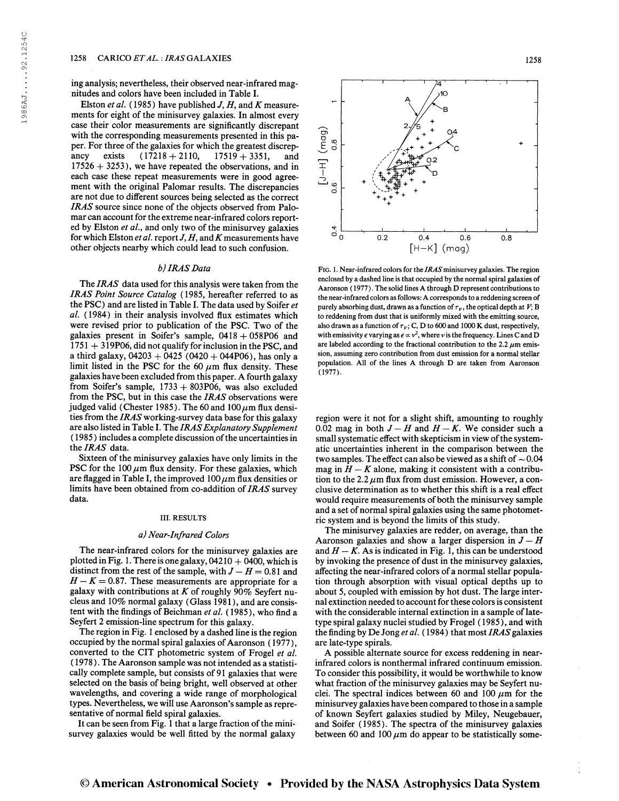ing analysis; nevertheless, their observed near-infrared magnitudes and colors have been included in Table I.

Elston et al. (1985) have published  $J, H$ , and K measurements for eight of the minisurvey galaxies. In almost every case their color measurements are significantly discrepant with the corresponding measurements presented in this paper. For three of the galaxies for which the greatest discrep-<br>ancy exists  $(17218 + 2110, 17519 + 3351,$  and ancy exists  $(17218 + 2110, 17519 + 3351,$  and  $17526 + 3253$ , we have repeated the observations, and in each case these repeat measurements were in good agreement with the original Palomar results. The discrepancies are not due to different sources being selected as the correct IRAS source since none of the objects observed from Palomar can account for the extreme near-infrared colors reported by Elston et al., and only two of the minisurvey galaxies for which Elston et al. report  $J, H$ , and  $K$  measurements have other objects nearby which could lead to such confusion.

## b) IRAS Data

The IRAS data used for this analysis were taken from the IRAS Point Source Catalog (1985, hereafter referred to as the PSC) and are listed in Table I. The data used by Soifer et al. (1984) in their analysis involved flux estimates which were revised prior to publication of the PSC. Two of the galaxies present in Soifer's sample, 0418 + 058P06 and <sup>1751</sup> + 319P06, did not qualify for inclusion in the PSC, and a third galaxy,  $04203 + 0425 (0420 + 044P06)$ , has only a limit listed in the PSC for the 60  $\mu$ m flux density. These galaxies have been excluded from this paper. A fourth galaxy from Soifer's sample,  $1733 + 803P06$ , was also excluded from the PSC, but in this case the IRAS observations were judged valid (Chester 1985). The 60 and 100  $\mu$ m flux densities from the IRAS working-survey data base for this galaxy are also listed in Table I. The IRAS Explanatory Supplement (1985) includes a complete discussion of the uncertainties in the IRAS data.

Sixteen of the minisurvey galaxies have only limits in the PSC for the 100  $\mu$ m flux density. For these galaxies, which are flagged in Table I, the improved  $100 \mu m$  flux densities or limits have been obtained from co-addition of IRAS survey data.

#### III. RESULTS

#### a) Near-Infrared Colors

The near-infrared colors for the minisurvey galaxies are plotted in Fig. 1. There is one galaxy,  $04210 + 0400$ , which is distinct from the rest of the sample, with  $J - H = 0.81$  and  $H - K = 0.87$ . These measurements are appropriate for a galaxy with contributions at  $K$  of roughly 90% Seyfert nucleus and 10% normal galaxy (Glass 1981 ), and are consistent with the findings of Beichman et al. (1985), who find a Seyfert 2 emission-line spectrum for this galaxy.

The region in Fig. <sup>1</sup> enclosed by a dashed line is the region occupied by the normal spiral galaxies of Aaronson (1977), converted to the CIT photometric system of Frogel et al. (1978). The Aaronson sample was not intended as a statistically complete sample, but consists of 91 galaxies that were selected on the basis of being bright, well observed at other wavelengths, and covering a wide range of morphological types. Nevertheless, we will use Aaronson's sample as representative of normal field spiral galaxies.

It can be seen from Fig. 1 that a large fraction of the minisurvey galaxies would be well fitted by the normal galaxy



FIG. 1. Near-infrared colors for the IRAS minisurvey galaxies. The region enclosed by a dashed line is that occupied by the normal spiral galaxies of Aaronson ( 1977). The solid lines A through D represent contributions to the near-infrared colors as follows: A corresponds to a reddening screen of purely absorbing dust, drawn as a function of  $\tau_V$ , the optical depth at  $V$ ; B to reddening from dust that is uniformly mixed with the emitting source, also drawn as a function of  $\tau_V$ ; C, D to 600 and 1000 K dust, respectively, with emissivity  $\epsilon$  varying as  $\epsilon \propto v^2$ , where v is the frequency. Lines C and D are labeled according to the fractional contribution to the 2.2  $\mu$ m emission, assuming zero contribution from dust emission for a normal stellar population. All of the lines A through D are taken from Aaronson (1977).

region were it not for a slight shift, amounting to roughly 0.02 mag in both  $J - H$  and  $H - K$ . We consider such a small systematic effect with skepticism in view of the systematic uncertainties inherent in the comparison between the two samples. The effect can also be viewed as a shift of  $\sim 0.04$ mag in  $H - K$  alone, making it consistent with a contribution to the 2.2  $\mu$ m flux from dust emission. However, a conclusive determination as to whether this shift is a real effect would require measurements of both the minisurvey sample and a set of normal spiral galaxies using the same photometric system and is beyond the limits of this study.

The minisurvey galaxies are redder, on average, than the Aaronson galaxies and show a larger dispersion in  $J - H$ and  $H - K$ . As is indicated in Fig. 1, this can be understood by invoking the presence of dust in the minisurvey galaxies, affecting the near-infrared colors of a normal stellar population through absorption with visual optical depths up to about 5, coupled with emission by hot dust. The large internal extinction needed to account forthese colorsis consistent with the considerable internal extinction in a sample of latetype spiral galaxy nuclei studied by Frogel ( 1985 ), and with the finding by De Jong et al. (1984) that most IRAS galaxies are late-type spirals.

A possible alternate source for excess reddening in nearinfrared colors is nonthermal infrared continuum emission. To consider this possibility, it would be worthwhile to know what fraction of the minisurvey galaxies may be Seyfert nuclei. The spectral indices between 60 and 100  $\mu$ m for the minisurvey galaxies have been compared to those in a sample of known Seyfert galaxies studied by Miley, Neugebauer, and Soifer (1985). The spectra of the minisurvey galaxies between 60 and 100  $\mu$ m do appear to be statistically some-

# © American Astronomical Society • Provided by the NASA Astrophysics Data System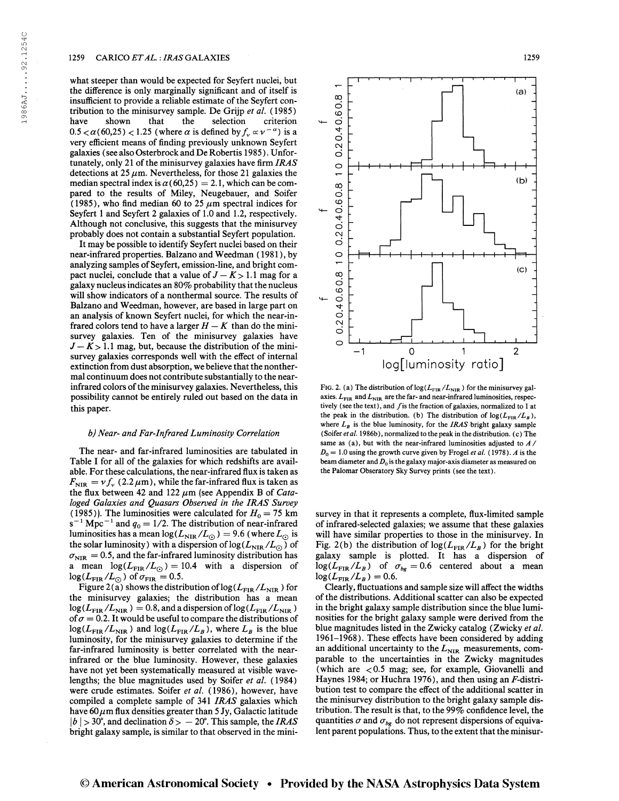what steeper than would be expected for Seyfert nuclei, but the difference is only marginally significant and of itself is insufficient to provide a reliable estimate of the Seyfert contribution to the minisurvey sample. De Grijp et al. (1985)<br>have shown that the selection criterion selection criterion have shown that the selection criterion<br>0.5  $< \alpha$  (60,25) < 1.25 (where  $\alpha$  is defined by  $f_v \propto v^{-\alpha}$ ) is a very efficient means of finding previously unknown Seyfert galaxies (see also Osterbrock and De Robertis 1985). Unfortunately, only 21 of the minisurvey galaxies have firm  $IRAS$ detections at 25  $\mu$ m. Nevertheless, for those 21 galaxies the median spectral index is  $\alpha$  (60,25) = 2.1, which can be compared to the results of Miley, Neugebauer, and Soifer (1985), who find median 60 to 25  $\mu$ m spectral indices for Seyfert <sup>1</sup> and Seyfert 2 galaxies of 1.0 and 1.2, respectively. Although not conclusive, this suggests that the minisurvey probably does not contain a substantial Seyfert population.

It may be possible to identify Seyfert nuclei based on their near-infrared properties. Balzano and Weedman ( 1981 ), by analyzing samples of Seyfert, emission-line, and bright compact nuclei, conclude that a value of  $J - K > 1.1$  mag for a galaxy nucleus indicates an  $80\%$  probability that the nucleus will show indicators of a nonthermal source. The results of Balzano and Weedman, however, are based in large part on an analysis of known Seyfert nuclei, for which the near-infrared colors tend to have a larger  $H - K$  than do the minisurvey galaxies. Ten of the minisurvey galaxies have  $J - K$  > 1.1 mag, but, because the distribution of the minisurvey galaxies corresponds well with the effect of internal extinction from dust absorption, we believe that the nonthermal continuum does not contribute substantially to the nearinfrared colors of the minisurvey galaxies. Nevertheless, this possibility cannot be entirely ruled out based on the data in this paper.

#### b) Near- and Far-Infrared Luminosity Correlation

The near- and far-infrared luminosities are tabulated in Table I for all of the galaxies for which redshifts are available. For these calculations, the near-infrared flux is taken as  $F_{\text{NIR}} = v f_{\nu}$  (2.2  $\mu$ m), while the far-infrared flux is taken as the flux between 42 and 122  $\mu$ m (see Appendix B of Cataloged Galaxies and Quasars Observed in the IRAS Survey (1985)). The luminosities were calculated for  $H_0 = 75$  km (1985)). The luminosities were calculated for  $H_0 = 75$  km s<sup>-1</sup> Mpc<sup>-1</sup> and  $q_0 = 1/2$ . The distribution of near-infrared  $s^{-1}$  Mpc<sup>-1</sup> and  $q_0 = 1/2$ . The distribution of near-infrared<br>luminosities has a mean  $log(L_{\text{NIR}}/L_{\odot}) = 9.6$  (where  $L_{\odot}$  is luminosities has a mean  $log(L_{\text{NIR}}/L_{\odot}) = 9.6$  (where  $L_{\odot}$  is<br>the solar luminosity) with a dispersion of  $log(L_{\text{NIR}}/L_{\odot})$  of  $\sigma_{\text{NIR}} = 0.5$ , and the far-infrared luminosity distribution has a mean  $\log(L_{\text{FIR}}/L_{\odot}) = 10.4$  with a dispersion of  $\log(L_{\rm FIR}/L_{\odot} )$  of  $\sigma_{\rm FIR} =0.5.$ 

Figure 2(a) shows the distribution of  $\log(L_{\rm FIR}/L_{\rm NIR})$  for the minisurvey galaxies; the distribution has a mean  $\log(L_{\rm FIR}/L_{\rm NIR}) = 0.8$ , and a dispersion of  $\log(L_{\rm FIR}/L_{\rm NIR})$ of  $\sigma = 0.2$ . It would be useful to compare the distributions of  $log(L_{\text{FIR}}/L_{\text{NIR}})$  and  $log(L_{\text{FIR}}/L_B)$ , where  $L_B$  is the blue luminosity, for the minisurvey galaxies to determine if the far-infrared luminosity is better correlated with the nearinfrared or the blue luminosity. However, these galaxies have not yet been systematically measured at visible wavelengths; the blue magnitudes used by Soifer et al. (1984) were crude estimates. Soifer et al. (1986), however, have compiled a complete sample of 341 IRAS galaxies which have  $60 \mu m$  flux densities greater than 5 Jy, Galactic latitude  $|b| > 30^{\circ}$ , and declination  $\delta > -20^{\circ}$ . This sample, the *IRAS* bright galaxy sample, is similar to that observed in the mini-



FIG. 2. (a) The distribution of  $\log(L_{\rm FIR}/L_{\rm NIR})$  for the minisurvey galaxies.  $L_{\text{FIR}}$  and  $L_{\text{NIR}}$  are the far- and near-infrared luminosities, respectively (see the text), and  $f$  is the fraction of galaxies, normalized to 1 at the peak in the distribution. (b) The distribution of  $\log(L_{\rm FIR}/L_B)$ , where  $L_B$  is the blue luminosity, for the IRAS bright galaxy sample (Soifer et al. 1986b), normalized to the peak in the distribution. (c) The same as (a), but with the near-infrared luminosities adjusted to  $A/$  $D_0 = 1.0$  using the growth curve given by Frogel et al. (1978). A is the beam diameter and  $D_0$  is the galaxy major-axis diameter as measured on the Palomar Obseratory Sky Survey prints (see the text).

survey in that it represents a complete, flux-limited sample of infrared-selected galaxies; we assume that these galaxies will have similar properties to those in the minisurvey. In Fig. 2(b) the distribution of  $\log(L_{\rm FIR}/L_B)$  for the bright galaxy sample is plotted. It has a dispersion of  $log(L_{\text{FIR}}/L_B)$  of  $\sigma_{bg}=0.6$  centered about a mean  $log(L_{\text{FIR}}/L_B)$  of  $\log(L_{\text{FIR}}/L_B) = 0.6.$ 

Clearly, fluctuations and sample size will affect the widths of the distributions. Additional scatter can also be expected in the bright galaxy sample distribution since the blue luminosities for the bright galaxy sample were derived from the blue magnitudes listed in the Zwicky catalog (Zwicky et al. 1961-1968). These effects have been considered by adding an additional uncertainty to the  $L_{\text{NIR}}$  measurements, comparable to the uncertainties in the Zwicky magnitudes (which are  $< 0.5$  mag; see, for example, Giovanelli and Haynes 1984; or Huchra 1976), and then using an  $F$ -distribution test to compare the effect of the additional scatter in the minisurvey distribution to the bright galaxy sample distribution. The result is that, to the 99% confidence level, the quantities  $\sigma$  and  $\sigma_{bg}$  do not represent dispersions of equivalent parent populations. Thus, to the extent that the minisur-

# © American Astronomical Society • Provided by the NASA Astrophysics Data System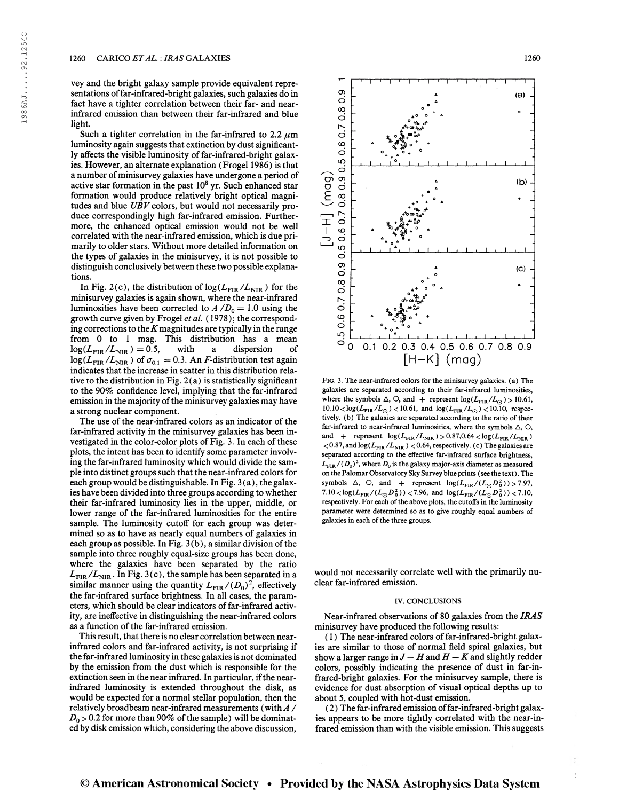vey and the bright galaxy sample provide equivalent representations of far-infrared-bright galaxies, such galaxies do in fact have a tighter correlation between their far- and nearinfrared emission than between their far-infrared and blue light.

Such a tighter correlation in the far-infrared to 2.2  $\mu$ m luminosity again suggests that extinction by dust significantly affects the visible luminosity of far-infrared-bright galaxies. However, an alternate explanation (Frogel 1986) is that a number of minisurvey galaxies have undergone a period of active star formation in the past 10<sup>8</sup> yr. Such enhanced star formation would produce relatively bright optical magnitudes and blue  $UBV$  colors, but would not necessarily produce correspondingly high far-infrared emission. Furthermore, the enhanced optical emission would not be well correlated with the near-infrared emission, which is due primarily to older stars. Without more detailed information on the types of galaxies in the minisurvey, it is not possible to distinguish conclusively between these two possible explanations.

In Fig. 2(c), the distribution of  $\log(L_{\rm FIR}/L_{\rm NIR})$  for the minisurvey galaxies is again shown, where the near-infrared luminosities have been corrected to  $A/D_0 = 1.0$  using the growth curve given by Frogel et al. (1978); the corresponding corrections to the  $K$  magnitudes are typically in the range from 0 to 1 mag. This distribution has a mean<br>  $log(L_{FIR}/L_{NIR}) = 0.5$ , with a dispersion of  $\log(L_{\text{FIR}}/L_{\text{NIR}}) = 0.5$ , with a dispersion of  $\log(L_{\text{FIR}}/L_{\text{NIR}})$  of  $\sigma_{0.1} = 0.3$ . An *F*-distribution test again indicates that the increase in scatter in this distribution relative to the distribution in Fig.  $2(a)$  is statistically significant to the 90% confidence level, implying that the far-infrared emission in the majority of the minisurvey galaxies may have a strong nuclear component.

The use of the near-infrared colors as an indicator of the far-infrared activity in the minisurvey galaxies has been investigated in the color-color plots of Fig. 3. In each of these plots, the intent has been to identify some parameter involving the far-infrared luminosity which would divide the sample into distinct groups such that the near-infrared colors for each group would be distinguishable. In Fig. 3(a), the galaxies have been divided into three groups according to whether their far-infrared luminosity lies in the upper, middle, or lower range of the far-infrared luminosities for the entire sample. The luminosity cutoff for each group was determined so as to have as nearly equal numbers of galaxies in each group as possible. In Fig.  $3(b)$ , a similar division of the sample into three roughly equal-size groups has been done, where the galaxies have been separated by the ratio  $L_{\rm FIR}/L_{\rm NIR}$ . In Fig. 3(c), the sample has been separated in a  $L_{\text{FIR}}/L_{\text{NIR}}$ . In Fig. 3(c), the sample has been separated in a similar manner using the quantity  $L_{\text{FIR}}/(D_0)^2$ , effectively the far-infrared surface brightness. In all cases, the parameters, which should be clear indicators of far-infrared activity, are ineffective in distinguishing the near-infrared colors as a function of the far-infrared emission.

This result, that there is no clear correlation between nearinfrared colors and far-infrared activity, is not surprising if the far-infrared luminosity in these galaxies is not dominated by the emission from the dust which is responsible for the extinction seen in the near infrared. In particular, if the nearinfrared luminosity is extended throughout the disk, as would be expected for a normal stellar population, then the relatively broadbeam near-infrared measurements (with  $A /$  $D_0 > 0.2$  for more than 90% of the sample) will be dominated by disk emission which, considering the above discussion,



Fig. 3. The near-infrared colors for the minisurvey galaxies, (a) The galaxies are separated according to their far-infrared luminosities, galaxies are separated according to their far-infrared luminosities,<br>where the symbols  $\triangle$ ,  $\bigcirc$ , and + represent  $log(L_{\text{FIR}}/L_{\odot}) > 10.61$ , where the symbols  $\Delta$ , O, and + represent  $log(L_{FIR}/L_{\odot}) > 10.61$ ,<br>  $10.10 < log(L_{FIR}/L_{\odot}) < 10.61$ , and  $log(L_{FIR}/L_{\odot}) < 10.10$ , respectively. (b) The galaxies are separated according to the ratio of their far-infrared to near-infrared luminosities, where the symbols  $\triangle$ ,  $\bigcirc$ , and + represent  $\log(L_{\rm FIR}/L_{\rm NIR}) > 0.87, 0.64 < \log(L_{\rm FIR}/L_{\rm NIR})$  $<$  0.87, and log( $L_{\text{FIR}}$ / $L_{\text{NIR}}$ )  $<$  0.64, respectively. (c) The galaxies are separated according to the effective far-infrared surface brightness,  $L_{\rm FIR}/(D_0)^2$ , where  $D_0$  is the galaxy major-axis diameter as measured on the Palomar Observatory Sky Survey blue prints (see the text). The symbols  $\triangle$ , O, and + represent  $\log(L_{\text{FIR}}/(L_{\odot}D_0^2)) > 7.97$ , 7.10 < log( $L_{\text{FIR}}/(L_{\odot}D_0^2)$ ) < 7.96, and log( $L_{\text{FIR}}/(L_{\odot}D_0^2)$ ) < 7.10, respectively. For each of the above plots, the cutoffs in the luminosity parameter were determined so as to give roughly equal numbers of galaxies in each of the three groups.

would not necessarily correlate well with the primarily nuclear far-infrared emission.

### IV. CONCLUSIONS

Near-infrared observations of 80 galaxies from the IRAS minisurvey have produced the following results:

(1) The near-infrared colors of far-infrared-bright galaxies are similar to those of normal field spiral galaxies, but show a larger range in  $J - H$  and  $H - K$  and slightly redder colors, possibly indicating the presence of dust in far-infrared-bright galaxies. For the minisurvey sample, there is evidence for dust absorption of visual optical depths up to about 5, coupled with hot-dust emission.

( 2 ) The far-infrared emission offar-infrared-bright galaxies appears to be more tightly correlated with the near-infrared emission than with the visible emission. This suggests